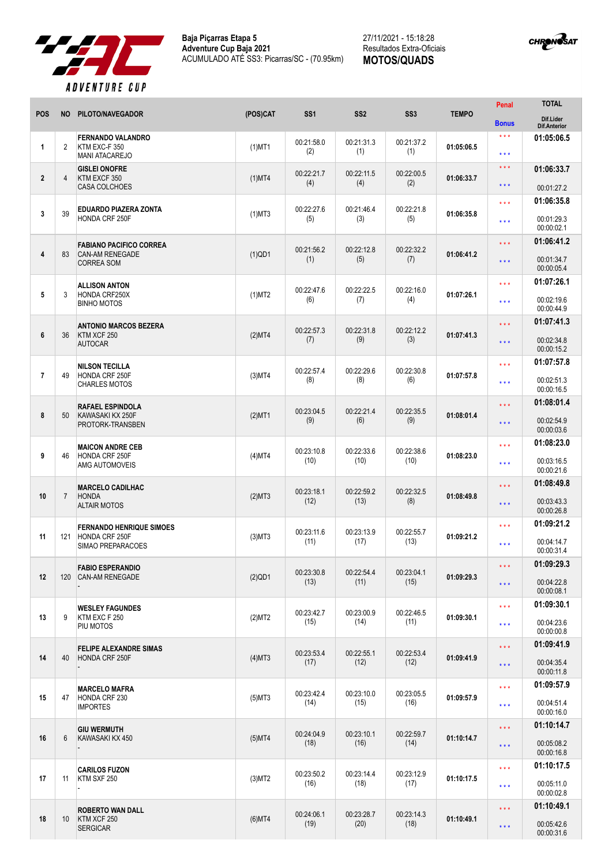



|                |                |                                                                               |              |                    |                    |                    |              | Penal                                          | <b>TOTAL</b>                           |
|----------------|----------------|-------------------------------------------------------------------------------|--------------|--------------------|--------------------|--------------------|--------------|------------------------------------------------|----------------------------------------|
| <b>POS</b>     | <b>NO</b>      | PILOTO/NAVEGADOR                                                              | (POS)CAT     | SS <sub>1</sub>    | SS <sub>2</sub>    | SS <sub>3</sub>    | <b>TEMPO</b> | <b>Bonus</b>                                   | Dif.Lider<br><b>Dif.Anterior</b>       |
| $\mathbf{1}$   | $\overline{2}$ | <b>FERNANDO VALANDRO</b><br>KTM EXC-F 350<br><b>MANI ATACAREJO</b>            | $(1)$ MT1    | 00:21:58.0<br>(2)  | 00:21:31.3<br>(1)  | 00:21:37.2<br>(1)  | 01:05:06.5   | $***$<br>* * *                                 | 01:05:06.5                             |
| $\overline{2}$ | 4              | <b>GISLEI ONOFRE</b><br>KTM EXCF 350<br><b>CASA COLCHOES</b>                  | $(1)$ MT4    | 00:22:21.7<br>(4)  | 00:22:11.5<br>(4)  | 00:22:00.5<br>(2)  | 01:06:33.7   | $\star \star \star$<br>* * *                   | 01:06:33.7<br>00:01:27.2               |
| $\mathbf{3}$   | 39             | EDUARDO PIAZERA ZONTA<br>HONDA CRF 250F                                       | $(1)$ MT3    | 00:22:27.6<br>(5)  | 00:21:46.4<br>(3)  | 00:22:21.8<br>(5)  | 01:06:35.8   | * * *<br>* * *                                 | 01:06:35.8<br>00:01:29.3<br>00:00:02.1 |
| $\overline{4}$ | 83             | <b>FABIANO PACIFICO CORREA</b><br><b>CAN-AM RENEGADE</b><br><b>CORREA SOM</b> | $(1)$ QD1    | 00:21:56.2<br>(1)  | 00:22:12.8<br>(5)  | 00:22:32.2<br>(7)  | 01:06:41.2   | * * *<br>* * *                                 | 01:06:41.2<br>00:01:34.7<br>00:00:05.4 |
| 5              | 3              | <b>ALLISON ANTON</b><br>HONDA CRF250X<br><b>BINHO MOTOS</b>                   | $(1)$ MT2    | 00:22:47.6<br>(6)  | 00:22:22.5<br>(7)  | 00:22:16.0<br>(4)  | 01:07:26.1   | * * *<br>* * *                                 | 01:07:26.1<br>00:02:19.6<br>00:00:44.9 |
| 6              | 36             | <b>ANTONIO MARCOS BEZERA</b><br>KTM XCF 250<br><b>AUTOCAR</b>                 | (2)MT4       | 00:22:57.3<br>(7)  | 00:22:31.8<br>(9)  | 00:22:12.2<br>(3)  | 01:07:41.3   | * * *<br>* * *                                 | 01:07:41.3<br>00:02:34.8<br>00:00:15.2 |
| $\overline{7}$ | 49             | <b>NILSON TECILLA</b><br>HONDA CRF 250F<br><b>CHARLES MOTOS</b>               | $(3)$ MT4    | 00:22:57.4<br>(8)  | 00:22:29.6<br>(8)  | 00:22:30.8<br>(6)  | 01:07:57.8   | * * *<br>* * *                                 | 01:07:57.8<br>00:02:51.3<br>00:00:16.5 |
| 8              | 50             | <b>RAFAEL ESPINDOLA</b><br>KAWASAKI KX 250F<br>PROTORK-TRANSBEN               | $(2)$ MT1    | 00:23:04.5<br>(9)  | 00:22:21.4<br>(6)  | 00:22:35.5<br>(9)  | 01:08:01.4   | * * *<br>$\star \star \star$                   | 01:08:01.4<br>00:02:54.9<br>00:00:03.6 |
| 9              | 46             | <b>MAICON ANDRE CEB</b><br>HONDA CRF 250F<br>AMG AUTOMOVEIS                   | (4)MT4       | 00:23:10.8<br>(10) | 00:22:33.6<br>(10) | 00:22:38.6<br>(10) | 01:08:23.0   | * * *<br>* * *                                 | 01:08:23.0<br>00:03:16.5<br>00:00:21.6 |
| 10             | $\overline{7}$ | <b>MARCELO CADILHAC</b><br><b>HONDA</b><br><b>ALTAIR MOTOS</b>                | (2)MT3       | 00:23:18.1<br>(12) | 00:22:59.2<br>(13) | 00:22:32.5<br>(8)  | 01:08:49.8   | * * *<br>* * *                                 | 01:08:49.8<br>00:03:43.3<br>00:00:26.8 |
| 11             | 121            | <b>FERNANDO HENRIQUE SIMOES</b><br>HONDA CRF 250F<br>SIMAO PREPARACOES        | $(3)$ MT $3$ | 00:23:11.6<br>(11) | 00:23:13.9<br>(17) | 00:22:55.7<br>(13) | 01:09:21.2   | * * *<br>* * *                                 | 01:09:21.2<br>00:04:14.7<br>00:00:31.4 |
| 12             | 120            | <b>FABIO ESPERANDIO</b><br>CAN-AM RENEGADE                                    | $(2)$ QD1    | 00:23:30.8<br>(13) | 00:22:54.4<br>(11) | 00:23:04.1<br>(15) | 01:09:29.3   | $\star$ $\star$ $\star$<br>$\star \star \star$ | 01:09:29.3<br>00:04:22.8<br>00:00:08.1 |
| 13             | 9              | <b>WESLEY FAGUNDES</b><br>KTM EXC F 250<br>PIU MOTOS                          | (2)MT2       | 00:23:42.7<br>(15) | 00:23:00.9<br>(14) | 00:22:46.5<br>(11) | 01:09:30.1   | $\star$ $\star$ $\star$<br>* * *               | 01:09:30.1<br>00:04:23.6<br>00:00:00.8 |
| 14             | 40             | <b>FELIPE ALEXANDRE SIMAS</b><br>HONDA CRF 250F                               | $(4)$ MT3    | 00:23:53.4<br>(17) | 00:22:55.1<br>(12) | 00:22:53.4<br>(12) | 01:09:41.9   | ***<br>$\star \star \star$                     | 01:09:41.9<br>00:04:35.4<br>00:00:11.8 |
| 15             | 47             | <b>MARCELO MAFRA</b><br>HONDA CRF 230<br><b>IMPORTES</b>                      | $(5)$ MT3    | 00:23:42.4<br>(14) | 00:23:10.0<br>(15) | 00:23:05.5<br>(16) | 01:09:57.9   | ***<br>* * *                                   | 01:09:57.9<br>00:04:51.4<br>00:00:16.0 |
| 16             | 6              | <b>GIU WERMUTH</b><br>KAWASAKI KX 450                                         | $(5)$ MT4    | 00:24:04.9<br>(18) | 00:23:10.1<br>(16) | 00:22:59.7<br>(14) | 01:10:14.7   | $\star \star \star$<br>***                     | 01:10:14.7<br>00:05:08.2<br>00:00:16.8 |
| 17             | 11             | <b>CARILOS FUZON</b><br>KTM SXF 250                                           | (3)MT2       | 00:23:50.2<br>(16) | 00:23:14.4<br>(18) | 00:23:12.9<br>(17) | 01:10:17.5   | $\star$ $\star$ $\star$<br>***                 | 01:10:17.5<br>00:05:11.0<br>00:00:02.8 |
| 18             | 10             | <b>ROBERTO WAN DALL</b><br>KTM XCF 250<br><b>SERGICAR</b>                     | $(6)$ MT4    | 00:24:06.1<br>(19) | 00:23:28.7<br>(20) | 00:23:14.3<br>(18) | 01:10:49.1   | $\star \star \star$<br>$\star$ $\star$ $\star$ | 01:10:49.1<br>00:05:42.6<br>00:00:31.6 |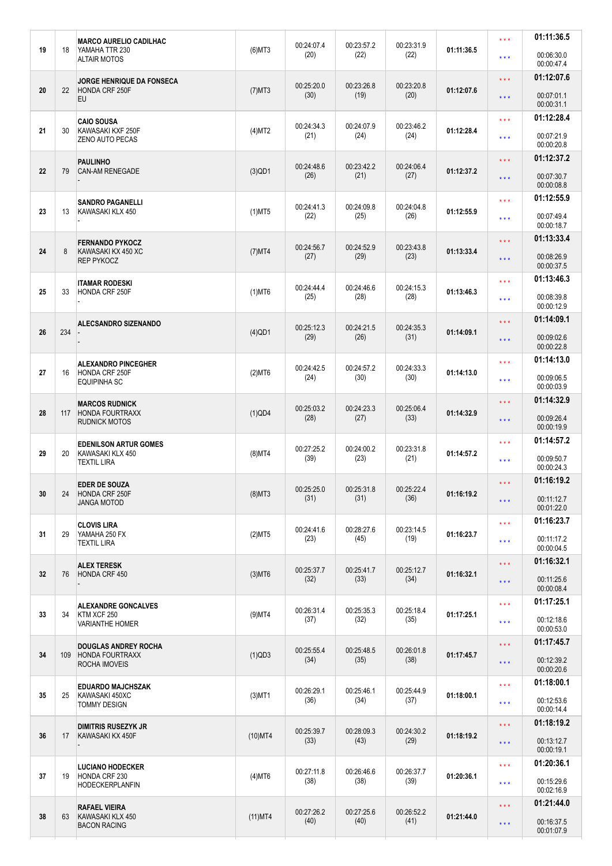|    |     | <b>MARCO AURELIO CADILHAC</b><br>YAMAHA TTR 230<br><b>ALTAIR MOTOS</b> | $(6)$ MT3  | 00:24:07.4<br>(20) | 00:23:57.2<br>(22) | 00:23:31.9<br>(22) | 01:11:36.5 | * * *               | 01:11:36.5               |
|----|-----|------------------------------------------------------------------------|------------|--------------------|--------------------|--------------------|------------|---------------------|--------------------------|
| 19 | 18  |                                                                        |            |                    |                    |                    |            | * * *               | 00:06:30.0<br>00:00:47.4 |
|    |     | <b>JORGE HENRIQUE DA FONSECA</b>                                       |            |                    |                    |                    |            | * * *               | 01:12:07.6               |
| 20 | 22  | <b>HONDA CRF 250F</b><br><b>EU</b>                                     | $(7)$ MT3  | 00:25:20.0<br>(30) | 00:23:26.8<br>(19) | 00:23:20.8<br>(20) | 01:12:07.6 | $\star \star \star$ | 00:07:01.1<br>00:00:31.1 |
|    |     | <b>CAIO SOUSA</b>                                                      |            |                    |                    |                    |            | * * *               | 01:12:28.4               |
| 21 | 30  | KAWASAKI KXF 250F<br><b>ZENO AUTO PECAS</b>                            | (4)MT2     | 00:24:34.3<br>(21) | 00:24:07.9<br>(24) | 00:23:46.2<br>(24) | 01:12:28.4 | * * *               | 00:07:21.9<br>00:00:20.8 |
|    |     | <b>PAULINHO</b>                                                        |            | 00:24:48.6         | 00:23:42.2         | 00:24:06.4         |            | * * *               | 01:12:37.2               |
| 22 | 79  | <b>CAN-AM RENEGADE</b>                                                 | $(3)$ QD1  | (26)               | (21)               | (27)               | 01:12:37.2 | * * *               | 00:07:30.7<br>00:00:08.8 |
|    |     | <b>SANDRO PAGANELLI</b>                                                |            | 00:24:41.3         | 00:24:09.8         | 00:24:04.8         |            | * * *               | 01:12:55.9               |
| 23 | 13  | KAWASAKI KLX 450                                                       | $(1)$ MT5  | (22)               | (25)               | (26)               | 01:12:55.9 | * * *               | 00:07:49.4<br>00:00:18.7 |
|    |     | <b>FERNANDO PYKOCZ</b>                                                 |            | 00:24:56.7         | 00:24:52.9         | 00:23:43.8         |            | * * *               | 01:13:33.4               |
| 24 | 8   | KAWASAKI KX 450 XC<br><b>REP PYKOCZ</b>                                | $(7)$ MT4  | (27)               | (29)               | (23)               | 01:13:33.4 | $\star \star \star$ | 00:08:26.9<br>00:00:37.5 |
|    |     | ITAMAR RODESKI                                                         |            | 00:24:44.4         | 00:24:46.6         | 00:24:15.3         |            | * * *               | 01:13:46.3               |
| 25 | 33  | HONDA CRF 250F                                                         | $(1)$ MT6  | (25)               | (28)               | (28)               | 01:13:46.3 | * * *               | 00:08:39.8<br>00:00:12.9 |
|    |     | <b>ALECSANDRO SIZENANDO</b>                                            |            | 00:25:12.3         | 00:24:21.5         | 00:24:35.3         |            | * * *               | 01:14:09.1               |
| 26 | 234 |                                                                        | $(4)$ QD1  | (29)               | (26)               | (31)               | 01:14:09.1 | $\star \star \star$ | 00:09:02.6<br>00:00:22.8 |
|    |     | <b>ALEXANDRO PINCEGHER</b><br>HONDA CRF 250F<br><b>EQUIPINHA SC</b>    | $(2)$ MT6  | 00:24:42.5<br>(24) | 00:24:57.2<br>(30) | 00:24:33.3<br>(30) | 01:14:13.0 | * * *               | 01:14:13.0               |
| 27 | 16  |                                                                        |            |                    |                    |                    |            | * * *               | 00:09:06.5<br>00:00:03.9 |
|    |     | <b>MARCOS RUDNICK</b>                                                  |            | 00:25:03.2         | 00:24:23.3         | 00:25:06.4         |            | * * *               | 01:14:32.9               |
| 28 | 117 | <b>HONDA FOURTRAXX</b><br><b>RUDNICK MOTOS</b>                         | (1)QD4     | (28)               | (27)               | (33)               | 01:14:32.9 | * * *               | 00:09:26.4<br>00:00:19.9 |
|    | 20  | <b>EDENILSON ARTUR GOMES</b><br>KAWASAKI KLX 450<br><b>TEXTIL LIRA</b> |            | 00:27:25.2         | 00:24:00.2         | 00:23:31.8<br>(21) | 01:14:57.2 | * * *               | 01:14:57.2               |
| 29 |     |                                                                        | $(8)$ MT4  | (39)               | (23)               |                    |            | * * *               | 00:09:50.7<br>00:00:24.3 |
|    |     | <b>EDER DE SOUZA</b>                                                   |            |                    |                    |                    |            | * * *               | 01:16:19.2               |
| 30 | 24  | HONDA CRF 250F<br><b>JANGA MOTOD</b>                                   | $(B)$ MT3  | 00:25:25.0<br>(31) | 00:25:31.8<br>(31) | 00:25:22.4<br>(36) | 01:16:19.2 | $\star \star \star$ | 00:11:12.7<br>00:01:22.0 |
|    | 29  | <b>CLOVIS LIRA</b>                                                     |            | 00:24:41.6         | 00:28:27.6         | 00:23:14.5         |            | * * *               | 01:16:23.7               |
| 31 |     | YAMAHA 250 FX<br><b>TEXTIL LIRA</b>                                    | (2)MT5     | (23)               | (45)               | (19)               | 01:16:23.7 | * * *               | 00:11:17.2               |
|    |     |                                                                        |            |                    |                    |                    |            |                     | 00:00:04.5<br>01:16:32.1 |
| 32 | 76  | <b>ALEX TERESK</b><br>HONDA CRF 450                                    | $(3)$ MT6  | 00:25:37.7         | 00:25:41.7<br>(33) | 00:25:12.7<br>(34) | 01:16:32.1 | * * *               |                          |
|    |     |                                                                        |            | (32)               |                    |                    |            | $\star \star \star$ | 00:11:25.6<br>00:00:08.4 |
|    | 34  | <b>ALEXANDRE GONCALVES</b><br>KTM XCF 250<br><b>VARIANTHE HOMER</b>    | $(9)$ MT4  | 00:26:31.4<br>(37) | 00:25:35.3<br>(32) | 00:25:18.4<br>(35) | 01:17:25.1 | * * *               | 01:17:25.1               |
| 33 |     |                                                                        |            |                    |                    |                    |            | * * *               | 00:12:18.6               |
|    |     |                                                                        |            |                    |                    |                    |            | $\star \star \star$ | 00:00:53.0<br>01:17:45.7 |
| 34 | 109 | <b>DOUGLAS ANDREY ROCHA</b><br><b>HONDA FOURTRAXX</b>                  | (1)QD3     | 00:25:55.4<br>(34) | 00:25:48.5<br>(35) | 00:26:01.8<br>(38) | 01:17:45.7 | $\star \star \star$ | 00:12:39.2               |
|    |     | ROCHA IMOVEIS                                                          |            |                    |                    |                    |            |                     | 00:00:20.6               |
| 35 | 25  | <b>EDUARDO MAJCHSZAK</b><br>KAWASAKI 450XC<br>TOMMY DESIGN             | $(3)$ MT1  | 00:26:29.1<br>(36) | 00:25:46.1<br>(34) | 00:25:44.9<br>(37) | 01:18:00.1 | * * *               | 01:18:00.1               |
|    |     |                                                                        |            |                    |                    |                    |            | ***                 | 00:12:53.6<br>00:00:14.4 |
|    | 17  | <b>DIMITRIS RUSEZYK JR</b><br>KAWASAKI KX 450F                         | $(10)$ MT4 | 00:25:39.7<br>(33) | 00:28:09.3<br>(43) | 00:24:30.2<br>(29) |            | $\star \star \star$ | 01:18:19.2               |
| 36 |     |                                                                        |            |                    |                    |                    | 01:18:19.2 |                     | 00:13:12.7               |
|    |     |                                                                        |            |                    |                    |                    |            | $\star \star \star$ |                          |
|    |     |                                                                        |            |                    |                    |                    |            |                     | 00:00:19.1               |
| 37 | 19  | <b>LUCIANO HODECKER</b><br>HONDA CRF 230                               | $(4)$ MT6  | 00:27:11.8         | 00:26:46.6         | 00:26:37.7         | 01:20:36.1 | ***                 | 01:20:36.1               |
|    |     | <b>HODECKERPLANFIN</b>                                                 |            | (38)               | (38)               | (39)               |            | * * *               | 00:15:29.6<br>00:02:16.9 |
| 38 | 63  | <b>RAFAEL VIEIRA</b><br>KAWASAKI KLX 450                               | $(11)$ MT4 | 00:27:26.2         | 00:27:25.6         | 00:26:52.2         | 01:21:44.0 | * * *               | 01:21:44.0               |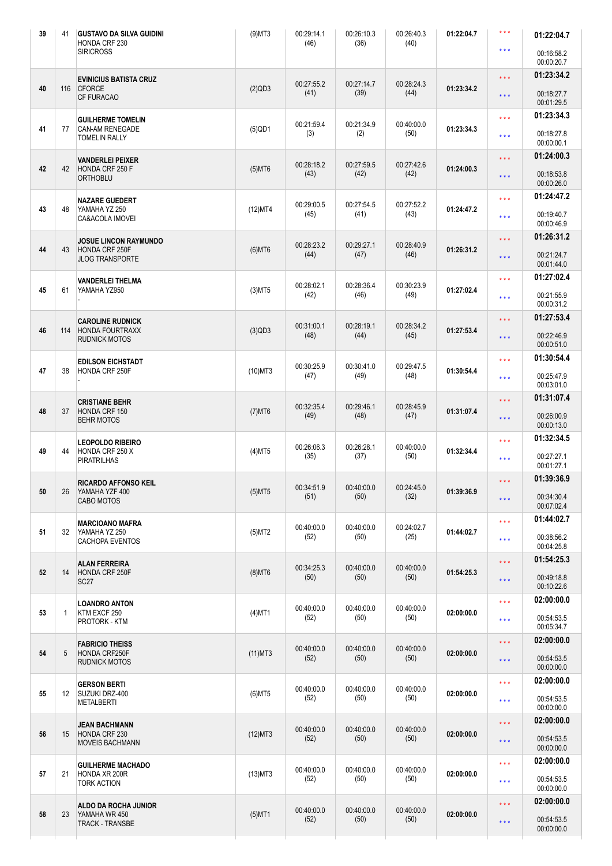| 39     | 41              | <b>GUSTAVO DA SILVA GUIDINI</b><br>HONDA CRF 230      | $(9)$ MT3  | 00:29:14.1<br>(46) | 00:26:10.3<br>(36) | 00:26:40.3<br>(40) | 01:22:04.7 | $***$                   | 01:22:04.7               |
|--------|-----------------|-------------------------------------------------------|------------|--------------------|--------------------|--------------------|------------|-------------------------|--------------------------|
|        |                 | <b>SIRICROSS</b>                                      |            |                    |                    |                    |            | $***$                   | 00:16:58.2<br>00:00:20.7 |
|        |                 | <b>EVINICIUS BATISTA CRUZ</b>                         |            |                    |                    |                    |            | $\star \star \star$     | 01:23:34.2               |
| 40     | 116             | <b>CFORCE</b><br>CF FURACAO                           | (2)QD3     | 00:27:55.2<br>(41) | 00:27:14.7<br>(39) | 00:28:24.3<br>(44) | 01:23:34.2 | $\star$ $\star$ $\star$ | 00:18:27.7<br>00:01:29.5 |
|        |                 | <b>GUILHERME TOMELIN</b>                              |            | 00:21:59.4         | 00:21:34.9         | 00:40:00.0         |            | $\star \star \star$     | 01:23:34.3               |
| 41     | 77              | <b>CAN-AM RENEGADE</b><br><b>TOMELIN RALLY</b>        | $(5)$ QD1  | (3)                | (2)                | (50)               | 01:23:34.3 | $\star \star \star$     | 00:18:27.8<br>00:00:00.1 |
|        |                 | <b>VANDERLEI PEIXER</b>                               |            | 00:28:18.2         | 00:27:59.5         | 00:27:42.6         |            | * * *                   | 01:24:00.3               |
| 42     | 42              | HONDA CRF 250 F<br><b>ORTHOBLU</b>                    | $(5)$ MT6  | (43)               | (42)               | (42)               | 01:24:00.3 | $\star \star \star$     | 00:18:53.8<br>00:00:26.0 |
|        |                 | NAZARE GUEDERT                                        |            | 00:29:00.5         | 00:27:54.5         | 00:27:52.2         |            | $\star \star \star$     | 01:24:47.2               |
| 43     | 48              | YAMAHA YZ 250<br>CA&ACOLA IMOVEI                      | (12)MT4    | (45)               | (41)               | (43)               | 01:24:47.2 | $\star \star \star$     | 00:19:40.7<br>00:00:46.9 |
|        |                 | <b>JOSUE LINCON RAYMUNDO</b>                          |            | 00:28:23.2         | 00:29:27.1         | 00:28:40.9         |            | $\star \star \star$     | 01:26:31.2               |
| 44     | 43              | HONDA CRF 250F<br><b>JLOG TRANSPORTE</b>              | $(6)$ MT6  | (44)               | (47)               | (46)               | 01:26:31.2 | $\star \star \star$     | 00:21:24.7<br>00:01:44.0 |
|        |                 | <b>VANDERLEI THELMA</b>                               |            | 00:28:02.1         | 00:28:36.4         | 00:30:23.9         |            | $\star \star \star$     | 01:27:02.4               |
| 45     | 61              | YAMAHA YZ950                                          | $(3)$ MT5  | (42)               | (46)               | (49)               | 01:27:02.4 | $\star \star \star$     | 00:21:55.9<br>00:00:31.2 |
|        |                 | <b>CAROLINE RUDNICK</b>                               |            |                    |                    |                    |            | $\star \star \star$     | 01:27:53.4               |
| 46     | 114             | <b>HONDA FOURTRAXX</b><br><b>RUDNICK MOTOS</b>        | (3)QD3     | 00:31:00.1<br>(48) | 00:28:19.1<br>(44) | 00:28:34.2<br>(45) | 01:27:53.4 | $\star \star \star$     | 00:22:46.9<br>00:00:51.0 |
|        |                 | <b>EDILSON EICHSTADT</b>                              |            |                    |                    |                    |            | $\star \star \star$     | 01:30:54.4               |
| 47     | 38              | HONDA CRF 250F                                        | $(10)$ MT3 | 00:30:25.9<br>(47) | 00:30:41.0<br>(49) | 00:29:47.5<br>(48) | 01:30:54.4 | $\star$ $\star$ $\star$ | 00:25:47.9<br>00:03:01.0 |
|        |                 | <b>CRISTIANE BEHR</b>                                 |            | 00:32:35.4         | 00:29:46.1         | 00:28:45.9         |            | $\star \star \star$     | 01:31:07.4               |
| 48     | 37              | HONDA CRF 150<br><b>BEHR MOTOS</b>                    | $(7)$ MT6  | (49)               | (48)               | (47)               | 01:31:07.4 | $\star \star \star$     | 00:26:00.9<br>00:00:13.0 |
|        |                 | <b>LEOPOLDO RIBEIRO</b>                               |            | 00:26:06.3         | 00:26:28.1         | 00:40:00.0         |            | $\star \star \star$     | 01:32:34.5               |
| 49     | 44              | HONDA CRF 250 X<br><b>PIRATRILHAS</b>                 | $(4)$ MT5  | (35)               | (37)               | (50)               | 01:32:34.4 | $\star \star \star$     | 00:27:27.1<br>00:01:27.1 |
|        |                 | <b>RICARDO AFFONSO KEIL</b>                           |            | 00:34:51.9         | 00:40:00.0         | 00:24:45.0         |            | $\star \star \star$     | 01:39:36.9               |
| $50\,$ | 26              | YAMAHA YZF 400<br>CABO MOTOS                          | $(5)$ MT5  | (51)               | (50)               | (32)               | 01:39:36.9 | $\star$ $\star$ $\star$ | 00:34:30.4<br>00:07:02.4 |
|        | 32              | <b>MARCIOANO MAFRA</b>                                |            | 00:40:00.0         | 00:40:00.0         | 00:24:02.7         |            | $\star \star \star$     | 01:44:02.7               |
| 51     |                 | YAMAHA YZ 250<br>CACHOPA EVENTOS                      | (5)MT2     | (52)               | (50)               | (25)               | 01:44:02.7 | $\star \star \star$     | 00:38:56.2               |
|        |                 |                                                       |            |                    |                    |                    |            | $\star$ $\star$ $\star$ | 00:04:25.8<br>01:54:25.3 |
| 52     | 14              | <b>ALAN FERREIRA</b><br>HONDA CRF 250F<br><b>SC27</b> | $(8)$ MT6  | 00:34:25.3<br>(50) | 00:40:00.0<br>(50) | 00:40:00.0<br>(50) | 01:54:25.3 |                         | 00:49:18.8               |
|        |                 |                                                       |            |                    |                    |                    |            | $\star \star \star$     | 00:10:22.6               |
|        |                 | <b>LOANDRO ANTON</b>                                  |            | 00:40:00.0         | 00:40:00.0         | 00:40:00.0         |            | $\star \star \star$     | 02:00:00.0               |
| 53     | $\mathbf{1}$    | KTM EXCF 250<br>PROTORK - KTM                         | $(4)$ MT1  | (52)               | (50)               | (50)               | 02:00:00.0 | $\star$ $\star$ $\star$ | 00:54:53.5<br>00:05:34.7 |
|        |                 | <b>FABRICIO THEISS</b>                                |            | 00:40:00.0         | 00:40:00.0         | 00:40:00.0         |            | $\star \star \star$     | 02:00:00.0               |
| 54     | 5               | HONDA CRF250F<br><b>RUDNICK MOTOS</b>                 | $(11)$ MT3 | (52)               | (50)               | (50)               | 02:00:00.0 | $\star$ $\star$ $\star$ | 00:54:53.5<br>00:00:00.0 |
|        |                 | <b>GERSON BERTI</b>                                   |            | 00:40:00.0         | 00:40:00.0         | 00:40:00.0         |            | $\star$ $\star$ $\star$ | 02:00:00.0               |
| 55     | 12 <sup>°</sup> | SUZUKI DRZ-400<br><b>METALBERTI</b>                   | $(6)$ MT5  | (52)               | (50)               | (50)               | 02:00:00.0 | $\star\star\star$       | 00:54:53.5<br>00:00:00.0 |
|        |                 | <b>JEAN BACHMANN</b>                                  |            | 00:40:00.0         | 00:40:00.0         | 00:40:00.0         |            | $\star$ $\star$ $\star$ | 02:00:00.0               |
| 56     | 15              | HONDA CRF 230<br><b>MOVEIS BACHMANN</b>               | $(12)$ MT3 | (52)               | (50)               | (50)               | 02:00:00.0 | $\star$ $\star$ $\star$ | 00:54:53.5<br>00:00:00.0 |
|        |                 | <b>GUILHERME MACHADO</b>                              |            | 00:40:00.0         | 00:40:00.0         | 00:40:00.0         |            | $\star \star \star$     | 02:00:00.0               |
| 57     | 21              | HONDA XR 200R<br><b>TORK ACTION</b>                   | $(13)$ MT3 | (52)               | (50)               | (50)               | 02:00:00.0 | $\star\star\star$       | 00:54:53.5<br>00:00:00.0 |
|        |                 | ALDO DA ROCHA JUNIOR                                  |            | 00:40:00.0         | 00:40:00.0         | 00:40:00.0         |            | $\star \star \star$     | 02:00:00.0               |
| 58     | 23              | YAMAHA WR 450<br><b>TRACK - TRANSBE</b>               | $(5)$ MT1  | (52)               | (50)               | (50)               | 02:00:00.0 | $\star\star\star$       | 00:54:53.5<br>00:00:00.0 |